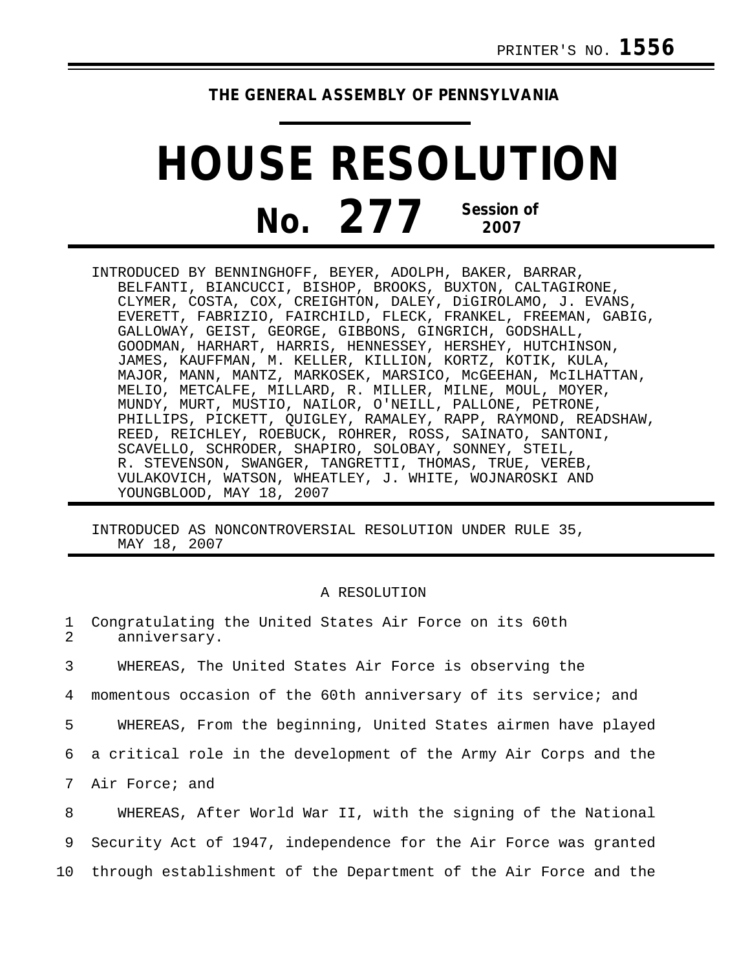## **THE GENERAL ASSEMBLY OF PENNSYLVANIA**

## **HOUSE RESOLUTION No. 277 Session of 2007**

INTRODUCED BY BENNINGHOFF, BEYER, ADOLPH, BAKER, BARRAR, BELFANTI, BIANCUCCI, BISHOP, BROOKS, BUXTON, CALTAGIRONE, CLYMER, COSTA, COX, CREIGHTON, DALEY, DiGIROLAMO, J. EVANS, EVERETT, FABRIZIO, FAIRCHILD, FLECK, FRANKEL, FREEMAN, GABIG, GALLOWAY, GEIST, GEORGE, GIBBONS, GINGRICH, GODSHALL, GOODMAN, HARHART, HARRIS, HENNESSEY, HERSHEY, HUTCHINSON, JAMES, KAUFFMAN, M. KELLER, KILLION, KORTZ, KOTIK, KULA, MAJOR, MANN, MANTZ, MARKOSEK, MARSICO, McGEEHAN, McILHATTAN, MELIO, METCALFE, MILLARD, R. MILLER, MILNE, MOUL, MOYER, MUNDY, MURT, MUSTIO, NAILOR, O'NEILL, PALLONE, PETRONE, PHILLIPS, PICKETT, QUIGLEY, RAMALEY, RAPP, RAYMOND, READSHAW, REED, REICHLEY, ROEBUCK, ROHRER, ROSS, SAINATO, SANTONI, SCAVELLO, SCHRODER, SHAPIRO, SOLOBAY, SONNEY, STEIL, R. STEVENSON, SWANGER, TANGRETTI, THOMAS, TRUE, VEREB, VULAKOVICH, WATSON, WHEATLEY, J. WHITE, WOJNAROSKI AND YOUNGBLOOD, MAY 18, 2007

INTRODUCED AS NONCONTROVERSIAL RESOLUTION UNDER RULE 35, MAY 18, 2007

## A RESOLUTION

- 1 Congratulating the United States Air Force on its 60th<br>2 anniversary anniversary.
- 3 WHEREAS, The United States Air Force is observing the
- 4 momentous occasion of the 60th anniversary of its service; and
- 5 WHEREAS, From the beginning, United States airmen have played
- 6 a critical role in the development of the Army Air Corps and the
- 7 Air Force; and

8 WHEREAS, After World War II, with the signing of the National 9 Security Act of 1947, independence for the Air Force was granted 10 through establishment of the Department of the Air Force and the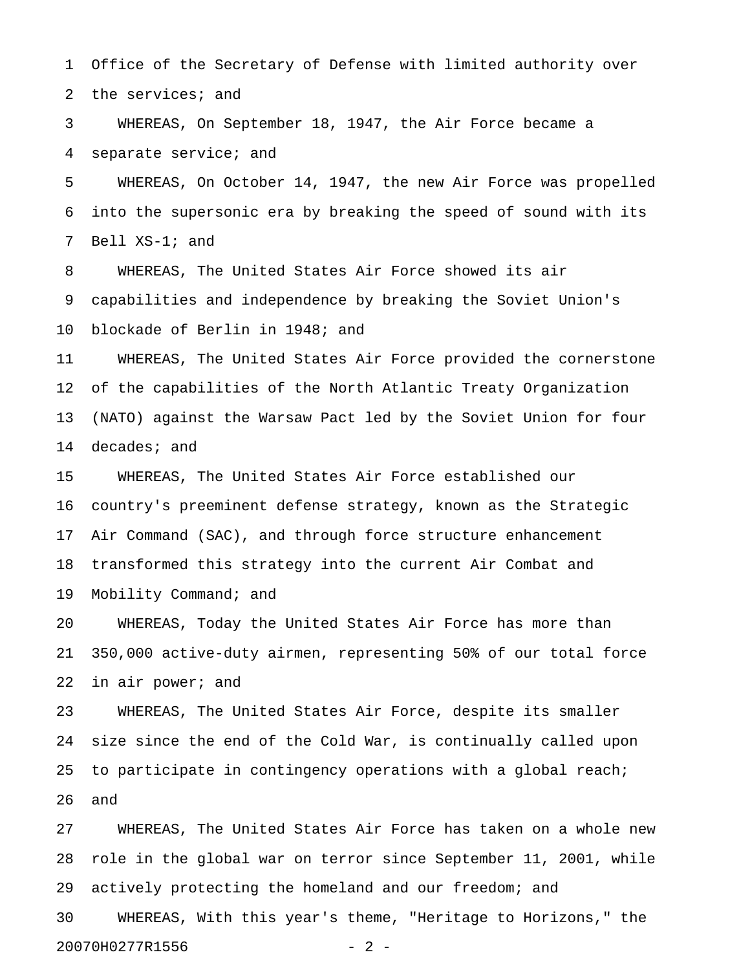1 Office of the Secretary of Defense with limited authority over 2 the services; and

3 WHEREAS, On September 18, 1947, the Air Force became a 4 separate service; and

5 WHEREAS, On October 14, 1947, the new Air Force was propelled 6 into the supersonic era by breaking the speed of sound with its 7 Bell XS-1; and

8 WHEREAS, The United States Air Force showed its air 9 capabilities and independence by breaking the Soviet Union's 10 blockade of Berlin in 1948; and

11 WHEREAS, The United States Air Force provided the cornerstone 12 of the capabilities of the North Atlantic Treaty Organization 13 (NATO) against the Warsaw Pact led by the Soviet Union for four 14 decades; and

15 WHEREAS, The United States Air Force established our 16 country's preeminent defense strategy, known as the Strategic 17 Air Command (SAC), and through force structure enhancement 18 transformed this strategy into the current Air Combat and 19 Mobility Command; and

20 WHEREAS, Today the United States Air Force has more than 21 350,000 active-duty airmen, representing 50% of our total force 22 in air power; and

23 WHEREAS, The United States Air Force, despite its smaller 24 size since the end of the Cold War, is continually called upon 25 to participate in contingency operations with a global reach; 26 and

27 WHEREAS, The United States Air Force has taken on a whole new 28 role in the global war on terror since September 11, 2001, while 29 actively protecting the homeland and our freedom; and

30 WHEREAS, With this year's theme, "Heritage to Horizons," the 20070H0277R1556 - 2 -